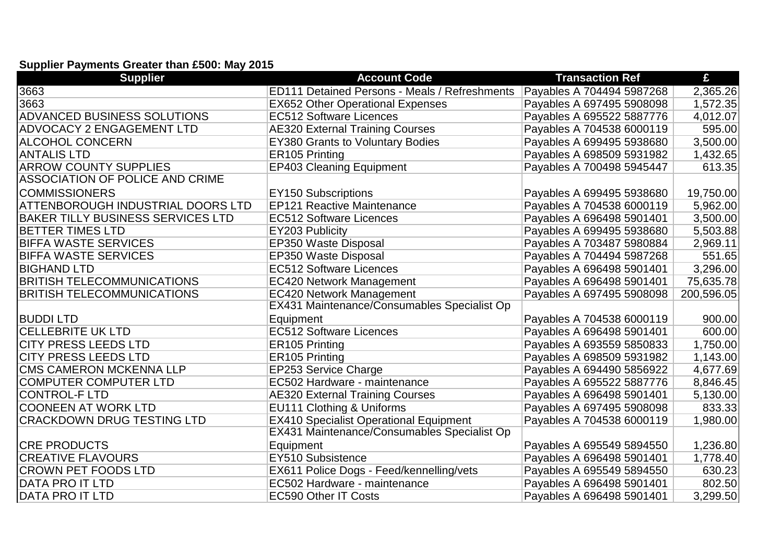## **Supplier Payments Greater than £500: May 2015**

| <b>Supplier</b>                          | <b>Account Code</b>                                  | <b>Transaction Ref</b>    | £          |
|------------------------------------------|------------------------------------------------------|---------------------------|------------|
| 3663                                     | <b>ED111 Detained Persons - Meals / Refreshments</b> | Payables A 704494 5987268 | 2,365.26   |
| 3663                                     | <b>EX652 Other Operational Expenses</b>              | Payables A 697495 5908098 | 1,572.35   |
| <b>ADVANCED BUSINESS SOLUTIONS</b>       | <b>EC512 Software Licences</b>                       | Payables A 695522 5887776 | 4,012.07   |
| <b>ADVOCACY 2 ENGAGEMENT LTD</b>         | <b>AE320 External Training Courses</b>               | Payables A 704538 6000119 | 595.00     |
| ALCOHOL CONCERN                          | <b>EY380 Grants to Voluntary Bodies</b>              | Payables A 699495 5938680 | 3,500.00   |
| IANTALIS LTD                             | ER105 Printing                                       | Payables A 698509 5931982 | 1,432.65   |
| <b>ARROW COUNTY SUPPLIES</b>             | <b>EP403 Cleaning Equipment</b>                      | Payables A 700498 5945447 | 613.35     |
| <b>ASSOCIATION OF POLICE AND CRIME</b>   |                                                      |                           |            |
| <b>COMMISSIONERS</b>                     | <b>EY150 Subscriptions</b>                           | Payables A 699495 5938680 | 19,750.00  |
| ATTENBOROUGH INDUSTRIAL DOORS LTD        | <b>EP121 Reactive Maintenance</b>                    | Payables A 704538 6000119 | 5,962.00   |
| <b>BAKER TILLY BUSINESS SERVICES LTD</b> | <b>EC512 Software Licences</b>                       | Payables A 696498 5901401 | 3,500.00   |
| <b>BETTER TIMES LTD</b>                  | EY203 Publicity                                      | Payables A 699495 5938680 | 5,503.88   |
| <b>BIFFA WASTE SERVICES</b>              | EP350 Waste Disposal                                 | Payables A 703487 5980884 | 2,969.11   |
| <b>BIFFA WASTE SERVICES</b>              | EP350 Waste Disposal                                 | Payables A 704494 5987268 | 551.65     |
| <b>BIGHAND LTD</b>                       | <b>EC512 Software Licences</b>                       | Payables A 696498 5901401 | 3,296.00   |
| <b>BRITISH TELECOMMUNICATIONS</b>        | <b>EC420 Network Management</b>                      | Payables A 696498 5901401 | 75,635.78  |
| <b>BRITISH TELECOMMUNICATIONS</b>        | <b>EC420 Network Management</b>                      | Payables A 697495 5908098 | 200,596.05 |
|                                          | EX431 Maintenance/Consumables Specialist Op          |                           |            |
| <b>BUDDILTD</b>                          | Equipment                                            | Payables A 704538 6000119 | 900.00     |
| <b>CELLEBRITE UK LTD</b>                 | <b>EC512 Software Licences</b>                       | Payables A 696498 5901401 | 600.00     |
| <b>CITY PRESS LEEDS LTD</b>              | ER105 Printing                                       | Payables A 693559 5850833 | 1,750.00   |
| <b>CITY PRESS LEEDS LTD</b>              | ER105 Printing                                       | Payables A 698509 5931982 | 1,143.00   |
| <b>CMS CAMERON MCKENNA LLP</b>           | <b>EP253 Service Charge</b>                          | Payables A 694490 5856922 | 4,677.69   |
| <b>COMPUTER COMPUTER LTD</b>             | EC502 Hardware - maintenance                         | Payables A 695522 5887776 | 8,846.45   |
| <b>CONTROL-F LTD</b>                     | <b>AE320 External Training Courses</b>               | Payables A 696498 5901401 | 5,130.00   |
| <b>COONEEN AT WORK LTD</b>               | EU111 Clothing & Uniforms                            | Payables A 697495 5908098 | 833.33     |
| CRACKDOWN DRUG TESTING LTD               | <b>EX410 Specialist Operational Equipment</b>        | Payables A 704538 6000119 | 1,980.00   |
|                                          | EX431 Maintenance/Consumables Specialist Op          |                           |            |
| <b>CRE PRODUCTS</b>                      | Equipment                                            | Payables A 695549 5894550 | 1,236.80   |
| <b>CREATIVE FLAVOURS</b>                 | EY510 Subsistence                                    | Payables A 696498 5901401 | 1,778.40   |
| <b>CROWN PET FOODS LTD</b>               | EX611 Police Dogs - Feed/kennelling/vets             | Payables A 695549 5894550 | 630.23     |
| DATA PRO IT LTD                          | EC502 Hardware - maintenance                         | Payables A 696498 5901401 | 802.50     |
| <b>DATA PRO IT LTD</b>                   | <b>EC590 Other IT Costs</b>                          | Payables A 696498 5901401 | 3,299.50   |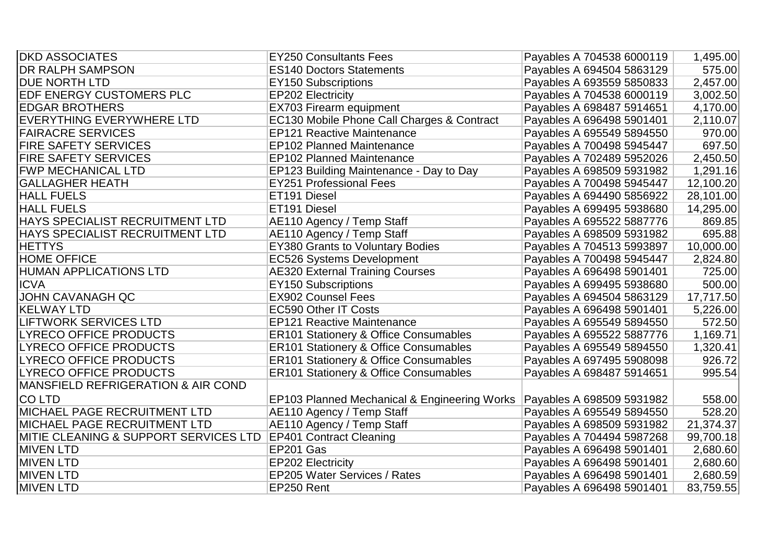| <b>IDKD ASSOCIATES</b>                | <b>EY250 Consultants Fees</b>                    | Payables A 704538 6000119 | 1,495.00  |
|---------------------------------------|--------------------------------------------------|---------------------------|-----------|
| <b>IDR RALPH SAMPSON</b>              | <b>ES140 Doctors Statements</b>                  | Payables A 694504 5863129 | 575.00    |
| <b>DUE NORTH LTD</b>                  | <b>EY150 Subscriptions</b>                       | Payables A 693559 5850833 | 2,457.00  |
| <b>EDF ENERGY CUSTOMERS PLC</b>       | <b>EP202 Electricity</b>                         | Payables A 704538 6000119 | 3,002.50  |
| <b>EDGAR BROTHERS</b>                 | EX703 Firearm equipment                          | Payables A 698487 5914651 | 4,170.00  |
| EVERYTHING EVERYWHERE LTD             | EC130 Mobile Phone Call Charges & Contract       | Payables A 696498 5901401 | 2,110.07  |
| <b>FAIRACRE SERVICES</b>              | <b>EP121 Reactive Maintenance</b>                | Payables A 695549 5894550 | 970.00    |
| <b>FIRE SAFETY SERVICES</b>           | <b>EP102 Planned Maintenance</b>                 | Payables A 700498 5945447 | 697.50    |
| <b>FIRE SAFETY SERVICES</b>           | <b>EP102 Planned Maintenance</b>                 | Payables A 702489 5952026 | 2,450.50  |
| <b>FWP MECHANICAL LTD</b>             | EP123 Building Maintenance - Day to Day          | Payables A 698509 5931982 | 1,291.16  |
| <b>GALLAGHER HEATH</b>                | <b>EY251 Professional Fees</b>                   | Payables A 700498 5945447 | 12,100.20 |
| <b>HALL FUELS</b>                     | ET191 Diesel                                     | Payables A 694490 5856922 | 28,101.00 |
| <b>HALL FUELS</b>                     | ET191 Diesel                                     | Payables A 699495 5938680 | 14,295.00 |
| HAYS SPECIALIST RECRUITMENT LTD       | AE110 Agency / Temp Staff                        | Payables A 695522 5887776 | 869.85    |
| HAYS SPECIALIST RECRUITMENT LTD       | AE110 Agency / Temp Staff                        | Payables A 698509 5931982 | 695.88    |
| <b>HETTYS</b>                         | <b>EY380 Grants to Voluntary Bodies</b>          | Payables A 704513 5993897 | 10,000.00 |
| <b>HOME OFFICE</b>                    | EC526 Systems Development                        | Payables A 700498 5945447 | 2,824.80  |
| <b>HUMAN APPLICATIONS LTD</b>         | <b>AE320 External Training Courses</b>           | Payables A 696498 5901401 | 725.00    |
| <b>ICVA</b>                           | <b>EY150 Subscriptions</b>                       | Payables A 699495 5938680 | 500.00    |
| <b>JOHN CAVANAGH QC</b>               | <b>EX902 Counsel Fees</b>                        | Payables A 694504 5863129 | 17,717.50 |
| <b>KELWAY LTD</b>                     | <b>EC590 Other IT Costs</b>                      | Payables A 696498 5901401 | 5,226.00  |
| <b>LIFTWORK SERVICES LTD</b>          | <b>EP121 Reactive Maintenance</b>                | Payables A 695549 5894550 | 572.50    |
| <b>LYRECO OFFICE PRODUCTS</b>         | <b>ER101 Stationery &amp; Office Consumables</b> | Payables A 695522 5887776 | 1,169.71  |
| <b>LYRECO OFFICE PRODUCTS</b>         | ER101 Stationery & Office Consumables            | Payables A 695549 5894550 | 1,320.41  |
| <b>LYRECO OFFICE PRODUCTS</b>         | <b>ER101 Stationery &amp; Office Consumables</b> | Payables A 697495 5908098 | 926.72    |
| <b>LYRECO OFFICE PRODUCTS</b>         | <b>ER101 Stationery &amp; Office Consumables</b> | Payables A 698487 5914651 | 995.54    |
| MANSFIELD REFRIGERATION & AIR COND    |                                                  |                           |           |
| <b>CO LTD</b>                         | EP103 Planned Mechanical & Engineering Works     | Payables A 698509 5931982 | 558.00    |
| MICHAEL PAGE RECRUITMENT LTD          | AE110 Agency / Temp Staff                        | Payables A 695549 5894550 | 528.20    |
| <b>MICHAEL PAGE RECRUITMENT LTD</b>   | AE110 Agency / Temp Staff                        | Payables A 698509 5931982 | 21,374.37 |
| MITIE CLEANING & SUPPORT SERVICES LTD | <b>EP401 Contract Cleaning</b>                   | Payables A 704494 5987268 | 99,700.18 |
| <b>MIVEN LTD</b>                      | EP201 Gas                                        | Payables A 696498 5901401 | 2,680.60  |
| <b>MIVEN LTD</b>                      | <b>EP202 Electricity</b>                         | Payables A 696498 5901401 | 2,680.60  |
| <b>MIVEN LTD</b>                      | <b>EP205 Water Services / Rates</b>              | Payables A 696498 5901401 | 2,680.59  |
| <b>MIVEN LTD</b>                      | EP250 Rent                                       | Payables A 696498 5901401 | 83,759.55 |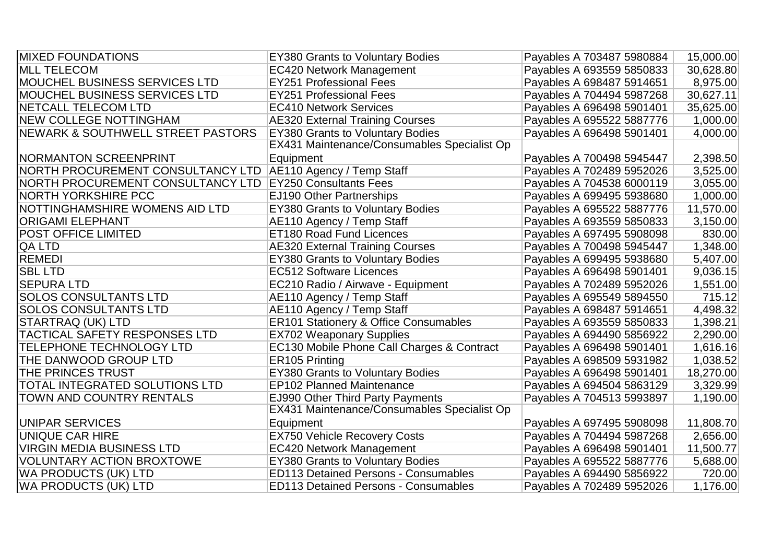| <b>IMIXED FOUNDATIONS</b>                 | <b>EY380 Grants to Voluntary Bodies</b>     | Payables A 703487 5980884 | 15,000.00 |
|-------------------------------------------|---------------------------------------------|---------------------------|-----------|
| <b>MLL TELECOM</b>                        | <b>EC420 Network Management</b>             | Payables A 693559 5850833 | 30,628.80 |
| <b>MOUCHEL BUSINESS SERVICES LTD</b>      | <b>EY251 Professional Fees</b>              | Payables A 698487 5914651 | 8,975.00  |
| <b>MOUCHEL BUSINESS SERVICES LTD</b>      | <b>EY251 Professional Fees</b>              | Payables A 704494 5987268 | 30,627.11 |
| <b>INETCALL TELECOM LTD</b>               | <b>EC410 Network Services</b>               | Payables A 696498 5901401 | 35,625.00 |
| <b>INEW COLLEGE NOTTINGHAM</b>            | <b>AE320 External Training Courses</b>      | Payables A 695522 5887776 | 1,000.00  |
| NEWARK & SOUTHWELL STREET PASTORS         | <b>EY380 Grants to Voluntary Bodies</b>     | Payables A 696498 5901401 | 4,000.00  |
|                                           | EX431 Maintenance/Consumables Specialist Op |                           |           |
| <b>NORMANTON SCREENPRINT</b>              | Equipment                                   | Payables A 700498 5945447 | 2,398.50  |
| NORTH PROCUREMENT CONSULTANCY LTD         | AE110 Agency / Temp Staff                   | Payables A 702489 5952026 | 3,525.00  |
| <b>INORTH PROCUREMENT CONSULTANCY LTD</b> | <b>EY250 Consultants Fees</b>               | Payables A 704538 6000119 | 3,055.00  |
| <b>NORTH YORKSHIRE PCC</b>                | EJ190 Other Partnerships                    | Payables A 699495 5938680 | 1,000.00  |
| <b>NOTTINGHAMSHIRE WOMENS AID LTD</b>     | <b>EY380 Grants to Voluntary Bodies</b>     | Payables A 695522 5887776 | 11,570.00 |
| <b>ORIGAMI ELEPHANT</b>                   | AE110 Agency / Temp Staff                   | Payables A 693559 5850833 | 3,150.00  |
| <b>POST OFFICE LIMITED</b>                | <b>ET180 Road Fund Licences</b>             | Payables A 697495 5908098 | 830.00    |
| <b>QA LTD</b>                             | <b>AE320 External Training Courses</b>      | Payables A 700498 5945447 | 1,348.00  |
| <b>REMEDI</b>                             | <b>EY380 Grants to Voluntary Bodies</b>     | Payables A 699495 5938680 | 5,407.00  |
| <b>SBL LTD</b>                            | <b>EC512 Software Licences</b>              | Payables A 696498 5901401 | 9,036.15  |
| <b>SEPURA LTD</b>                         | EC210 Radio / Airwave - Equipment           | Payables A 702489 5952026 | 1,551.00  |
| <b>SOLOS CONSULTANTS LTD</b>              | AE110 Agency / Temp Staff                   | Payables A 695549 5894550 | 715.12    |
| <b>SOLOS CONSULTANTS LTD</b>              | AE110 Agency / Temp Staff                   | Payables A 698487 5914651 | 4,498.32  |
| STARTRAQ (UK) LTD                         | ER101 Stationery & Office Consumables       | Payables A 693559 5850833 | 1,398.21  |
| <b>TACTICAL SAFETY RESPONSES LTD</b>      | <b>EX702 Weaponary Supplies</b>             | Payables A 694490 5856922 | 2,290.00  |
| TELEPHONE TECHNOLOGY LTD                  | EC130 Mobile Phone Call Charges & Contract  | Payables A 696498 5901401 | 1,616.16  |
| THE DANWOOD GROUP LTD                     | ER105 Printing                              | Payables A 698509 5931982 | 1,038.52  |
| <b>THE PRINCES TRUST</b>                  | <b>EY380 Grants to Voluntary Bodies</b>     | Payables A 696498 5901401 | 18,270.00 |
| <b>TOTAL INTEGRATED SOLUTIONS LTD</b>     | <b>EP102 Planned Maintenance</b>            | Payables A 694504 5863129 | 3,329.99  |
| <b>TOWN AND COUNTRY RENTALS</b>           | <b>EJ990 Other Third Party Payments</b>     | Payables A 704513 5993897 | 1,190.00  |
|                                           | EX431 Maintenance/Consumables Specialist Op |                           |           |
| UNIPAR SERVICES                           | Equipment                                   | Payables A 697495 5908098 | 11,808.70 |
| UNIQUE CAR HIRE                           | <b>EX750 Vehicle Recovery Costs</b>         | Payables A 704494 5987268 | 2,656.00  |
| VIRGIN MEDIA BUSINESS LTD                 | <b>EC420 Network Management</b>             | Payables A 696498 5901401 | 11,500.77 |
| <b>VOLUNTARY ACTION BROXTOWE</b>          | <b>EY380 Grants to Voluntary Bodies</b>     | Payables A 695522 5887776 | 5,688.00  |
| WA PRODUCTS (UK) LTD                      | <b>ED113 Detained Persons - Consumables</b> | Payables A 694490 5856922 | 720.00    |
| WA PRODUCTS (UK) LTD                      | <b>ED113 Detained Persons - Consumables</b> | Payables A 702489 5952026 | 1,176.00  |